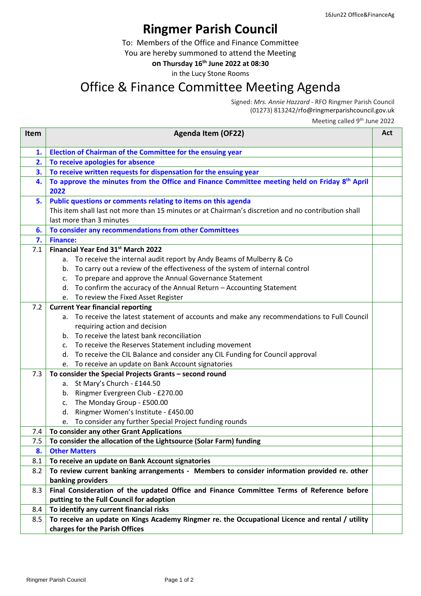## **Ringmer Parish Council**

To: Members of the Office and Finance Committee

You are hereby summoned to attend the Meeting

**on Thursday 16 th June 2022 at 08:30**

in the Lucy Stone Rooms

## Office & Finance Committee Meeting Agenda

Signed: *Mrs. Annie Hazzard -* RFO Ringmer Parish Council (01273) 813242/rfo@ringmerparishcouncil.gov.uk

Meeting called 9<sup>th</sup> June 2022

| <b>Item</b> | <b>Agenda Item (OF22)</b>                                                                                         | Act |
|-------------|-------------------------------------------------------------------------------------------------------------------|-----|
| 1.          | Election of Chairman of the Committee for the ensuing year                                                        |     |
| 2.          | To receive apologies for absence                                                                                  |     |
| 3.          | To receive written requests for dispensation for the ensuing year                                                 |     |
| 4.          | To approve the minutes from the Office and Finance Committee meeting held on Friday 8 <sup>th</sup> April<br>2022 |     |
| 5.          | Public questions or comments relating to items on this agenda                                                     |     |
|             | This item shall last not more than 15 minutes or at Chairman's discretion and no contribution shall               |     |
|             | last more than 3 minutes                                                                                          |     |
| 6.          | To consider any recommendations from other Committees                                                             |     |
| 7.          | <b>Finance:</b>                                                                                                   |     |
| 7.1         | Financial Year End 31st March 2022                                                                                |     |
|             | To receive the internal audit report by Andy Beams of Mulberry & Co<br>а.                                         |     |
|             | b. To carry out a review of the effectiveness of the system of internal control                                   |     |
|             | To prepare and approve the Annual Governance Statement<br>c.                                                      |     |
|             | d. To confirm the accuracy of the Annual Return - Accounting Statement                                            |     |
|             | e. To review the Fixed Asset Register                                                                             |     |
| 7.2         | <b>Current Year financial reporting</b>                                                                           |     |
|             | a. To receive the latest statement of accounts and make any recommendations to Full Council                       |     |
|             | requiring action and decision                                                                                     |     |
|             | b. To receive the latest bank reconciliation                                                                      |     |
|             | c. To receive the Reserves Statement including movement                                                           |     |
|             | d. To receive the CIL Balance and consider any CIL Funding for Council approval                                   |     |
|             | e. To receive an update on Bank Account signatories                                                               |     |
| 7.3         | To consider the Special Projects Grants - second round                                                            |     |
|             | a. St Mary's Church - £144.50                                                                                     |     |
|             | b. Ringmer Evergreen Club - £270.00                                                                               |     |
|             | The Monday Group - £500.00<br>C.                                                                                  |     |
|             | Ringmer Women's Institute - £450.00<br>d.                                                                         |     |
|             | e. To consider any further Special Project funding rounds                                                         |     |
| 7.4         | To consider any other Grant Applications                                                                          |     |
| 7.5         | To consider the allocation of the Lightsource (Solar Farm) funding                                                |     |
| 8.          | <b>Other Matters</b>                                                                                              |     |
| 8.1         | To receive an update on Bank Account signatories                                                                  |     |
| 8.2         | To review current banking arrangements - Members to consider information provided re. other                       |     |
|             | banking providers                                                                                                 |     |
| 8.3         | Final Consideration of the updated Office and Finance Committee Terms of Reference before                         |     |
|             | putting to the Full Council for adoption                                                                          |     |
| 8.4         | To identify any current financial risks                                                                           |     |
| 8.5         | To receive an update on Kings Academy Ringmer re. the Occupational Licence and rental / utility                   |     |
|             | charges for the Parish Offices                                                                                    |     |